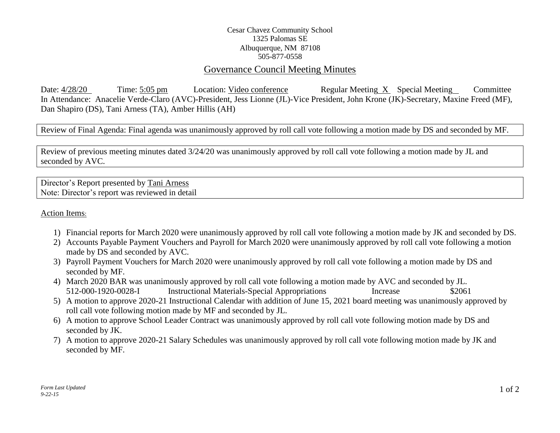## Cesar Chavez Community School 1325 Palomas SE Albuquerque, NM 87108 505-877-0558

## Governance Council Meeting Minutes

Date: 4/28/20 Time: 5:05 pm Location: Video conference Regular Meeting X Special Meeting Committee In Attendance: Anacelie Verde-Claro (AVC)-President, Jess Lionne (JL)-Vice President, John Krone (JK)-Secretary, Maxine Freed (MF), Dan Shapiro (DS), Tani Arness (TA), Amber Hillis (AH)

Review of Final Agenda: Final agenda was unanimously approved by roll call vote following a motion made by DS and seconded by MF.

Review of previous meeting minutes dated 3/24/20 was unanimously approved by roll call vote following a motion made by JL and seconded by AVC.

Director's Report presented by Tani Arness Note: Director's report was reviewed in detail

Action Items:

- 1) Financial reports for March 2020 were unanimously approved by roll call vote following a motion made by JK and seconded by DS.
- 2) Accounts Payable Payment Vouchers and Payroll for March 2020 were unanimously approved by roll call vote following a motion made by DS and seconded by AVC.
- 3) Payroll Payment Vouchers for March 2020 were unanimously approved by roll call vote following a motion made by DS and seconded by MF.
- 4) March 2020 BAR was unanimously approved by roll call vote following a motion made by AVC and seconded by JL. 512-000-1920-0028-I Instructional Materials-Special Appropriations Increase \$2061
- 5) A motion to approve 2020-21 Instructional Calendar with addition of June 15, 2021 board meeting was unanimously approved by roll call vote following motion made by MF and seconded by JL.
- 6) A motion to approve School Leader Contract was unanimously approved by roll call vote following motion made by DS and seconded by JK.
- 7) A motion to approve 2020-21 Salary Schedules was unanimously approved by roll call vote following motion made by JK and seconded by MF.